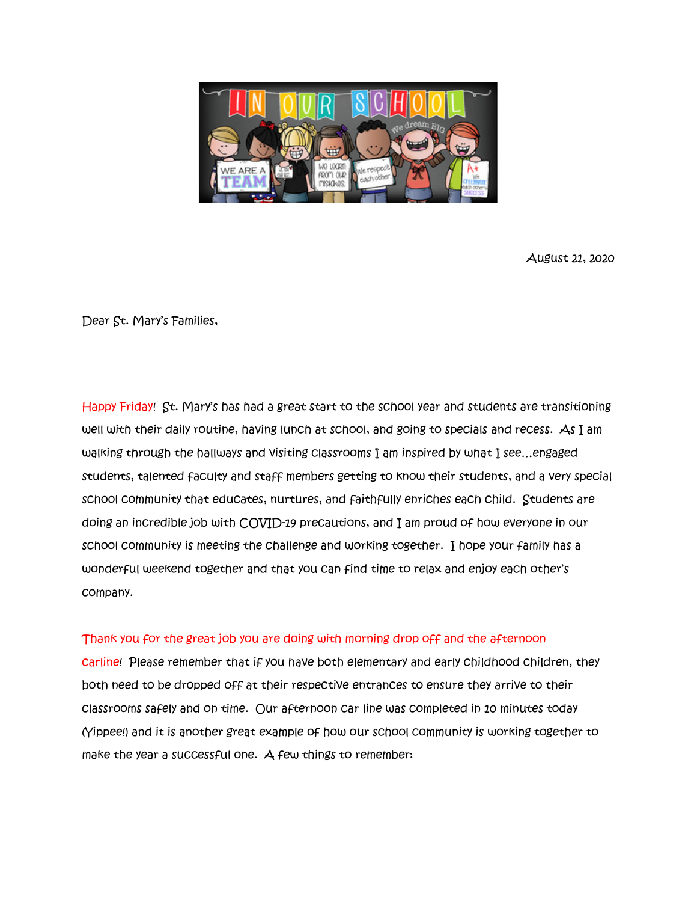

August 21, 2020

Dear St. Mary's Families,

Happy Friday! St. Mary's has had a great start to the school year and students are transitioning well with their daily routine, having lunch at school, and going to specials and recess. As I am walking through the hallways and visiting classrooms I am inspired by what I see…engaged students, talented faculty and staff members getting to know their students, and a very special school community that educates, nurtures, and faithfully enriches each child. Students are doing an incredible job with COVID-19 precautions, and I am proud of how everyone in our school community is meeting the challenge and working together. I hope your family has a wonderful weekend together and that you can find time to relax and enjoy each other's company.

## Thank you for the great job you are doing with morning drop off and the afternoon

carline! Please remember that if you have both elementary and early childhood children, they both need to be dropped off at their respective entrances to ensure they arrive to their classrooms safely and on time. Our afternoon car line was completed in 10 minutes today (Yippee!) and it is another great example of how our school community is working together to make the year a successful one. A few things to remember: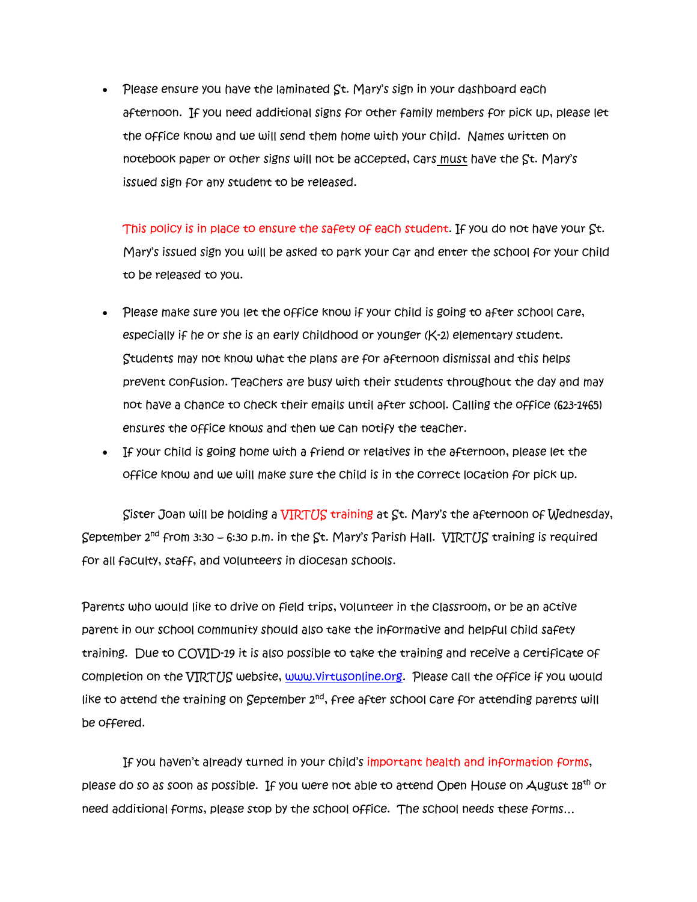• Please ensure you have the laminated St. Mary's sign in your dashboard each afternoon. If you need additional signs for other family members for pick up, please let the office know and we will send them home with your child. Names written on notebook paper or other signs will not be accepted, cars must have the St. Mary's issued sign for any student to be released.

This policy is in place to ensure the safety of each student. If you do not have your St. Mary's issued sign you will be asked to park your car and enter the school for your child to be released to you.

- Please make sure you let the office know if your child is going to after school care, especially if he or she is an early childhood or younger (K-2) elementary student. Students may not know what the plans are for afternoon dismissal and this helps prevent confusion. Teachers are busy with their students throughout the day and may not have a chance to check their emails until after school. Calling the office (623-1465) ensures the office knows and then we can notify the teacher.
- If your child is going home with a friend or relatives in the afternoon, please let the office know and we will make sure the child is in the correct location for pick up.

Sister Joan will be holding a VIRTUS training at St. Mary's the afternoon of Wednesday, September  $2^{nd}$  from 3:30 – 6:30 p.m. in the St. Mary's Parish Hall. VIRTUS training is required for all faculty, staff, and volunteers in diocesan schools.

Parents who would like to drive on field trips, volunteer in the classroom, or be an active parent in our school community should also take the informative and helpful child safety training. Due to COVID-19 it is also possible to take the training and receive a certificate of completion on the VIRTUS website, [www.virtusonline.org.](http://www.virtusonline.org/) Please call the office if you would like to attend the training on September  $2^{nd}$ , free after school care for attending parents will be offered.

If you haven't already turned in your child's important health and information forms, please do so as soon as possible. If you were not able to attend Open House on August 18<sup>th</sup> or need additional forms, please stop by the school office. The school needs these forms…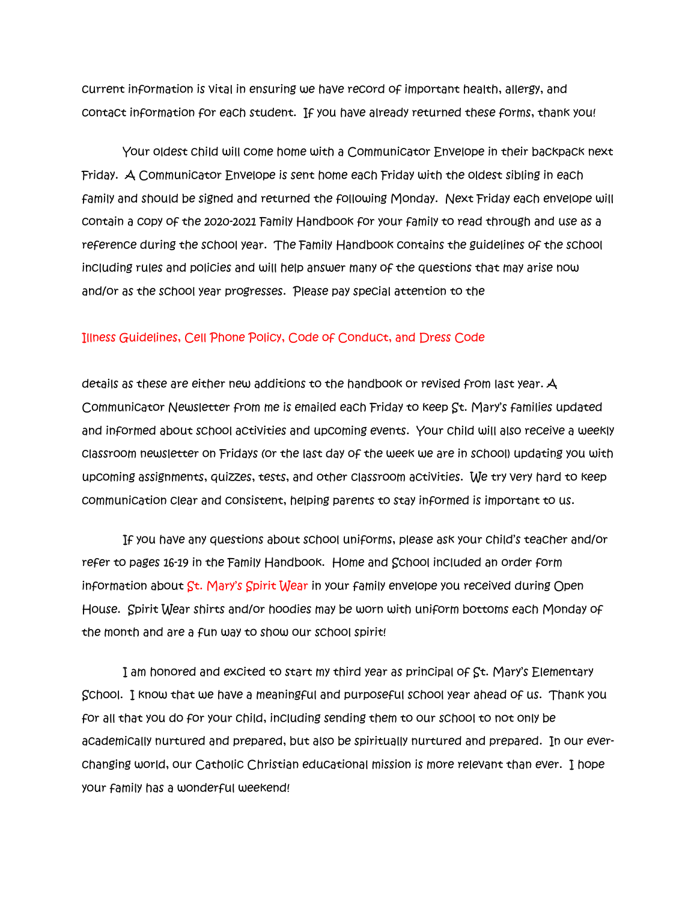current information is vital in ensuring we have record of important health, allergy, and contact information for each student. If you have already returned these forms, thank you!

Your oldest child will come home with a Communicator Envelope in their backpack next Friday. A Communicator Envelope is sent home each Friday with the oldest sibling in each family and should be signed and returned the following Monday. Next Friday each envelope will contain a copy of the 2020-2021 Family Handbook for your family to read through and use as a reference during the school year. The Family Handbook contains the guidelines of the school including rules and policies and will help answer many of the questions that may arise now and/or as the school year progresses. Please pay special attention to the

## Illness Guidelines, Cell Phone Policy, Code of Conduct, and Dress Code

details as these are either new additions to the handbook or revised from last year. A Communicator Newsletter from me is emailed each Friday to keep St. Mary's families updated and informed about school activities and upcoming events. Your child will also receive a weekly classroom newsletter on Fridays (or the last day of the week we are in school) updating you with upcoming assignments, quizzes, tests, and other classroom activities. We try very hard to keep communication clear and consistent, helping parents to stay informed is important to us.

If you have any questions about school uniforms, please ask your child's teacher and/or refer to pages 16-19 in the Family Handbook. Home and School included an order form information about St. Mary's Spirit Wear in your family envelope you received during Open House. Spirit Wear shirts and/or hoodies may be worn with uniform bottoms each Monday of the month and are a fun way to show our school spirit!

I am honored and excited to start my third year as principal of St. Mary's Elementary School. I know that we have a meaningful and purposeful school year ahead of us. Thank you for all that you do for your child, including sending them to our school to not only be academically nurtured and prepared, but also be spiritually nurtured and prepared. In our everchanging world, our Catholic Christian educational mission is more relevant than ever. I hope your family has a wonderful weekend!